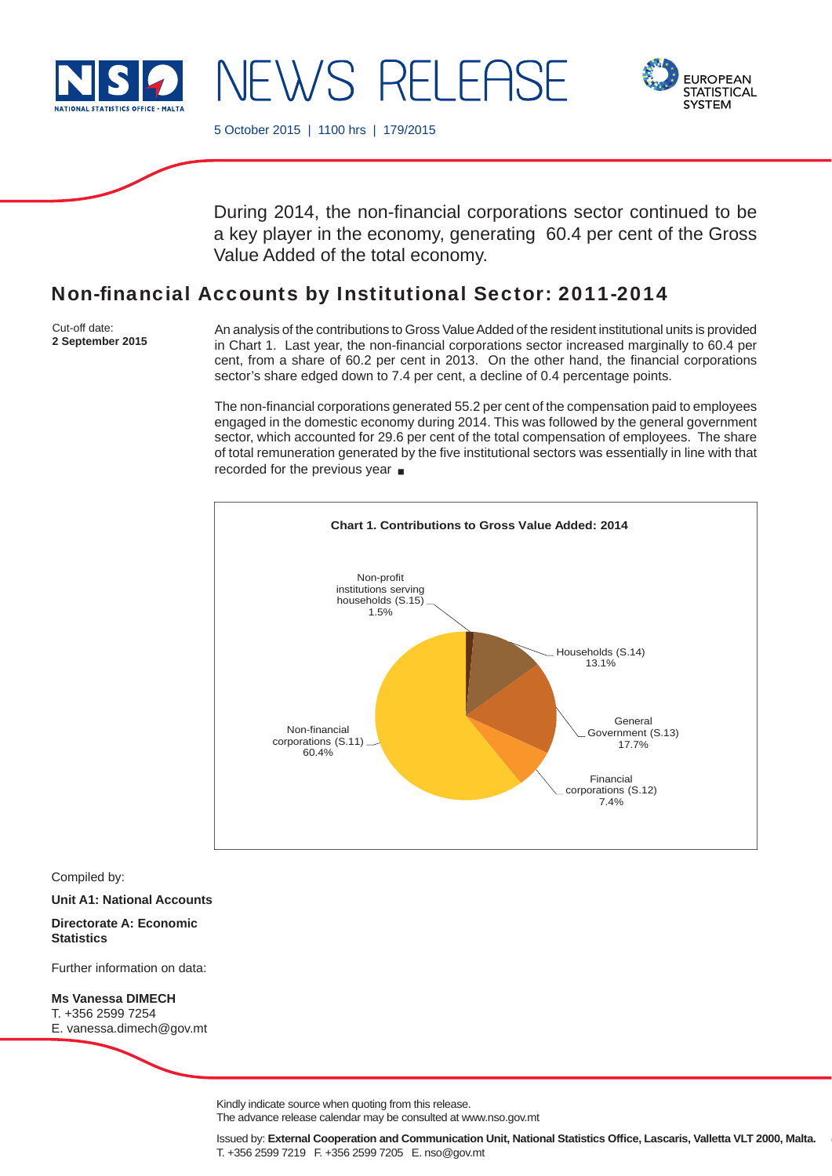

I NEWS RELEASE



5 October 2015 | 1100 hrs | 179/2015

During 2014, the non-financial corporations sector continued to be a key player in the economy, generating 60.4 per cent of the Gross Value Added of the total economy.

# Non-financial Accounts by Institutional Sector: 2011-2014

Cut-off date: **2 September 2015**

An analysis of the contributions to Gross Value Added of the resident institutional units is provided in Chart 1. Last year, the non-financial corporations sector increased marginally to 60.4 per cent, from a share of 60.2 per cent in 2013. On the other hand, the financial corporations sector's share edged down to 7.4 per cent, a decline of 0.4 percentage points.

The non-financial corporations generated 55.2 per cent of the compensation paid to employees engaged in the domestic economy during 2014. This was followed by the general government sector, which accounted for 29.6 per cent of the total compensation of employees. The share of total remuneration generated by the five institutional sectors was essentially in line with that recorded for the previous year



Compiled by:

**Unit A1: National Accounts**

**Directorate A: Economic Statistics**

Further information on data:

**Ms Vanessa DIMECH** T. +356 2599 7254 E. vanessa.dimech@gov.mt

Kindly indicate source when quoting from this release.

The advance release calendar may be consulted at www.nso.gov.mt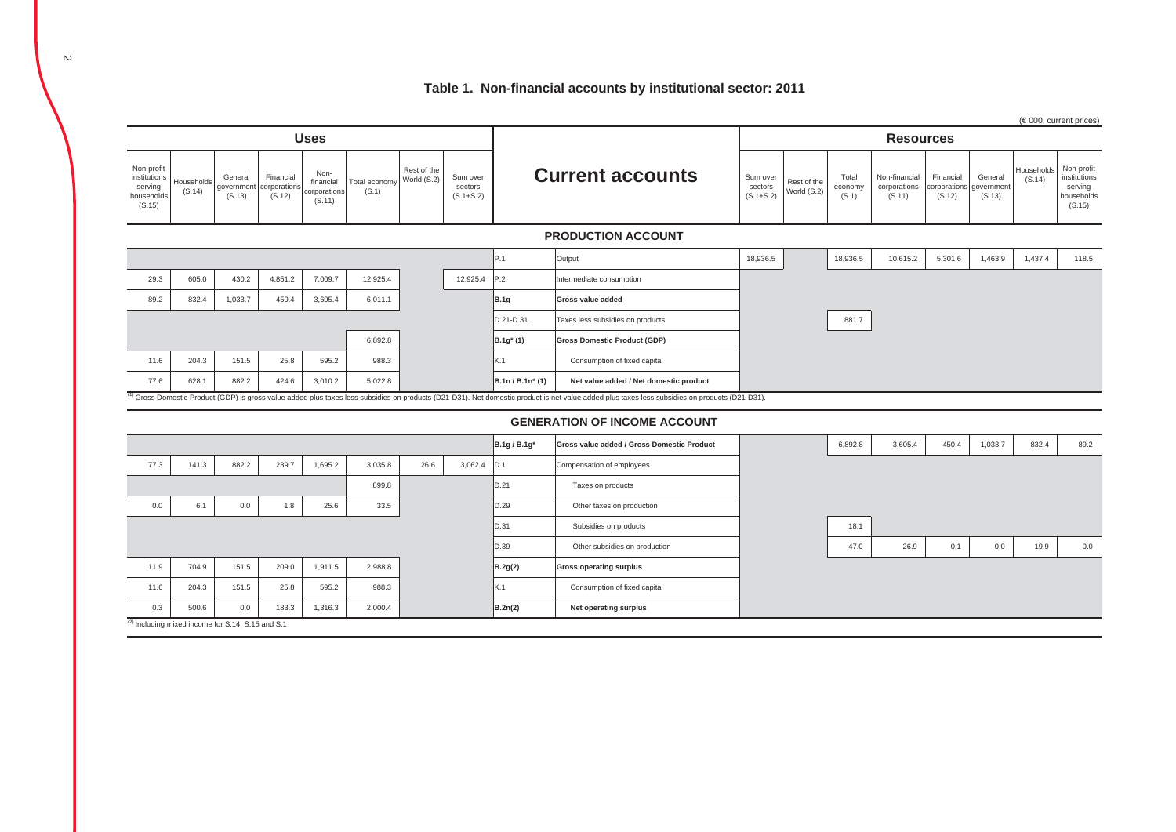### **Table 1. Non-financial accounts by institutional sector: 2011**

|                                                               |                      |                                 |                                     |                                             |                        |                            |                                      |                   |                                                                                                                                                                                                           |                                      |                            |                           |                                         |                     |                                              |                      | $(\in 000$ , current prices)                                  |
|---------------------------------------------------------------|----------------------|---------------------------------|-------------------------------------|---------------------------------------------|------------------------|----------------------------|--------------------------------------|-------------------|-----------------------------------------------------------------------------------------------------------------------------------------------------------------------------------------------------------|--------------------------------------|----------------------------|---------------------------|-----------------------------------------|---------------------|----------------------------------------------|----------------------|---------------------------------------------------------------|
|                                                               |                      |                                 |                                     | <b>Uses</b>                                 |                        |                            |                                      |                   |                                                                                                                                                                                                           |                                      |                            |                           | <b>Resources</b>                        |                     |                                              |                      |                                                               |
| Non-profit<br>institutions<br>serving<br>households<br>(S.15) | Households<br>(S.14) | General<br>government<br>(S.13) | Financial<br>corporation:<br>(S.12) | Non-<br>financial<br>corporations<br>(S.11) | Total economy<br>(S.1) | Rest of the<br>World (S.2) | Sum over<br>sectors<br>$(S.1 + S.2)$ |                   | <b>Current accounts</b>                                                                                                                                                                                   | Sum over<br>sectors<br>$(S.1 + S.2)$ | Rest of the<br>World (S.2) | Total<br>economy<br>(S.1) | Non-financial<br>corporations<br>(S.11) | Financial<br>(S.12) | General<br>corporations government<br>(S.13) | Households<br>(S.14) | Non-profit<br>institutions<br>serving<br>households<br>(S.15) |
|                                                               |                      |                                 |                                     |                                             |                        |                            |                                      |                   | <b>PRODUCTION ACCOUNT</b>                                                                                                                                                                                 |                                      |                            |                           |                                         |                     |                                              |                      |                                                               |
|                                                               |                      |                                 |                                     |                                             |                        |                            |                                      | P.1               | Output                                                                                                                                                                                                    | 18,936.5                             |                            | 18,936.5                  | 10,615.2                                | 5,301.6             | 1,463.9                                      | 1,437.4              | 118.5                                                         |
| 29.3                                                          | 605.0                | 430.2                           | 4,851.2                             | 7,009.7                                     | 12,925.4               |                            | 12,925.4                             | P.2               | Intermediate consumption                                                                                                                                                                                  |                                      |                            |                           |                                         |                     |                                              |                      |                                                               |
| 89.2                                                          | 832.4                | 1,033.7                         | 450.4                               | 3,605.4                                     | 6,011.1                |                            |                                      | <b>B.1g</b>       | Gross value added                                                                                                                                                                                         |                                      |                            |                           |                                         |                     |                                              |                      |                                                               |
|                                                               |                      |                                 |                                     |                                             |                        |                            |                                      | D.21-D.31         | Taxes less subsidies on products                                                                                                                                                                          |                                      |                            | 881.7                     |                                         |                     |                                              |                      |                                                               |
|                                                               |                      |                                 |                                     |                                             | 6,892.8                |                            |                                      | $B.1g^{*}(1)$     | <b>Gross Domestic Product (GDP)</b>                                                                                                                                                                       |                                      |                            |                           |                                         |                     |                                              |                      |                                                               |
| 11.6                                                          | 204.3                | 151.5                           | 25.8                                | 595.2                                       | 988.3                  |                            |                                      | K.1               | Consumption of fixed capital                                                                                                                                                                              |                                      |                            |                           |                                         |                     |                                              |                      |                                                               |
| 77.6                                                          | 628.1                | 882.2                           | 424.6                               | 3,010.2                                     | 5,022.8                |                            |                                      | B.1n / B.1n* (1)  | Net value added / Net domestic product                                                                                                                                                                    |                                      |                            |                           |                                         |                     |                                              |                      |                                                               |
|                                                               |                      |                                 |                                     |                                             |                        |                            |                                      |                   | <sup>1)</sup> Gross Domestic Product (GDP) is gross value added plus taxes less subsidies on products (D21-D31). Net domestic product is net value added plus taxes less subsidies on products (D21-D31). |                                      |                            |                           |                                         |                     |                                              |                      |                                                               |
|                                                               |                      |                                 |                                     |                                             |                        |                            |                                      |                   | <b>GENERATION OF INCOME ACCOUNT</b>                                                                                                                                                                       |                                      |                            |                           |                                         |                     |                                              |                      |                                                               |
|                                                               |                      |                                 |                                     |                                             |                        |                            |                                      | <b>B.1g/B.1g*</b> | Gross value added / Gross Domestic Product                                                                                                                                                                |                                      |                            | 6,892.8                   | 3,605.4                                 | 450.4               | 1,033.7                                      | 832.4                | 89.2                                                          |
| 77.3                                                          | 141.3                | 882.2                           | 239.7                               | 1,695.2                                     | 3,035.8                | 26.6                       | 3,062.4                              | D.1               | Compensation of employees                                                                                                                                                                                 |                                      |                            |                           |                                         |                     |                                              |                      |                                                               |
|                                                               |                      |                                 |                                     |                                             | 899.8                  |                            |                                      | D.21              | Taxes on products                                                                                                                                                                                         |                                      |                            |                           |                                         |                     |                                              |                      |                                                               |
| 0.0                                                           | 6.1                  | 0.0                             | 1.8                                 | 25.6                                        | 33.5                   |                            |                                      | D.29              | Other taxes on production                                                                                                                                                                                 |                                      |                            |                           |                                         |                     |                                              |                      |                                                               |
|                                                               |                      |                                 |                                     |                                             |                        |                            |                                      | D.31              | Subsidies on products                                                                                                                                                                                     |                                      |                            | 18.1                      |                                         |                     |                                              |                      |                                                               |
|                                                               |                      |                                 |                                     |                                             |                        |                            |                                      | D.39              | Other subsidies on production                                                                                                                                                                             |                                      |                            | 47.0                      | 26.9                                    | 0.1                 | 0.0                                          | 19.9                 | 0.0                                                           |
| 11.9                                                          | 704.9                | 151.5                           | 209.0                               | 1,911.5                                     | 2,988.8                |                            |                                      | B.2g(2)           | <b>Gross operating surplus</b>                                                                                                                                                                            |                                      |                            |                           |                                         |                     |                                              |                      |                                                               |
| 11.6                                                          | 204.3                | 151.5                           | 25.8                                | 595.2                                       | 988.3                  |                            |                                      | K.1               | Consumption of fixed capital                                                                                                                                                                              |                                      |                            |                           |                                         |                     |                                              |                      |                                                               |
| 0.3                                                           | 500.6                | 0.0                             | 183.3                               | 1,316.3                                     | 2,000.4                |                            |                                      | B.2n(2)           | Net operating surplus                                                                                                                                                                                     |                                      |                            |                           |                                         |                     |                                              |                      |                                                               |
| <sup>(2)</sup> Including mixed income for S.14, S.15 and S.1  |                      |                                 |                                     |                                             |                        |                            |                                      |                   |                                                                                                                                                                                                           |                                      |                            |                           |                                         |                     |                                              |                      |                                                               |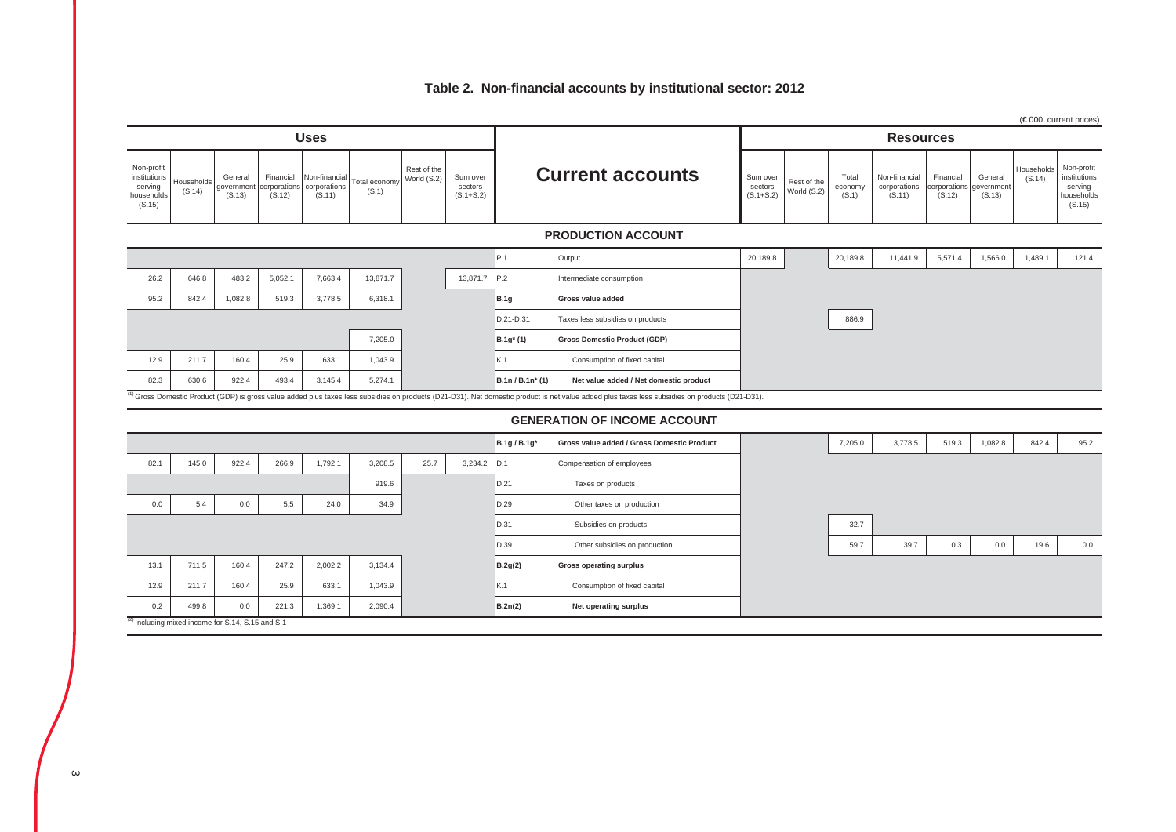## **Table 2. Non-financial accounts by institutional sector: 2012**

|                                                               |                      |                                                              |                                     |                                        |                       |                            |                                      |                  |                                                                                                                                                                                                 |                                      |                            |                           |                                         |                                     |                                 |                      | (€000, current prices)                                        |
|---------------------------------------------------------------|----------------------|--------------------------------------------------------------|-------------------------------------|----------------------------------------|-----------------------|----------------------------|--------------------------------------|------------------|-------------------------------------------------------------------------------------------------------------------------------------------------------------------------------------------------|--------------------------------------|----------------------------|---------------------------|-----------------------------------------|-------------------------------------|---------------------------------|----------------------|---------------------------------------------------------------|
| <b>Uses</b>                                                   |                      |                                                              |                                     |                                        |                       |                            |                                      |                  | <b>Resources</b>                                                                                                                                                                                |                                      |                            |                           |                                         |                                     |                                 |                      |                                                               |
| Non-profit<br>institutions<br>serving<br>households<br>(S.15) | Households<br>(S.14) | General<br>governmen<br>(S.13)                               | Financial<br>corporation:<br>(S.12) | Non-financia<br>corporations<br>(S.11) | Total econom<br>(S.1) | Rest of the<br>World (S.2) | Sum over<br>sectors<br>$(S.1 + S.2)$ |                  | <b>Current accounts</b>                                                                                                                                                                         | Sum over<br>sectors<br>$(S.1 + S.2)$ | Rest of the<br>World (S.2) | Total<br>economy<br>(S.1) | Non-financial<br>corporations<br>(S.11) | Financial<br>corporations<br>(S.12) | General<br>jovernment<br>(S.13) | Households<br>(S.14) | Non-profit<br>institutions<br>serving<br>households<br>(S.15) |
|                                                               |                      |                                                              |                                     |                                        |                       |                            |                                      |                  | <b>PRODUCTION ACCOUNT</b>                                                                                                                                                                       |                                      |                            |                           |                                         |                                     |                                 |                      |                                                               |
|                                                               |                      |                                                              |                                     |                                        |                       |                            |                                      | P.1              | Output                                                                                                                                                                                          | 20,189.8                             |                            | 20,189.8                  | 11,441.9                                | 5,571.4                             | 1,566.0                         | 1,489.1              | 121.4                                                         |
| 26.2                                                          | 646.8                | 483.2                                                        | 5,052.1                             | 7,663.4                                | 13,871.7              |                            | 13,871.7 P.2                         |                  | Intermediate consumption                                                                                                                                                                        |                                      |                            |                           |                                         |                                     |                                 |                      |                                                               |
| 95.2                                                          | 842.4                | 1,082.8                                                      | 519.3                               | 3,778.5                                | 6,318.1               |                            |                                      | <b>B.1g</b>      | Gross value added                                                                                                                                                                               |                                      |                            |                           |                                         |                                     |                                 |                      |                                                               |
|                                                               |                      |                                                              |                                     |                                        |                       |                            |                                      | D.21-D.31        | Taxes less subsidies on products                                                                                                                                                                |                                      |                            | 886.9                     |                                         |                                     |                                 |                      |                                                               |
|                                                               |                      |                                                              |                                     |                                        | 7,205.0               |                            |                                      | $B.1g^{*}(1)$    | <b>Gross Domestic Product (GDP)</b>                                                                                                                                                             |                                      |                            |                           |                                         |                                     |                                 |                      |                                                               |
| 12.9                                                          | 211.7                | 160.4                                                        | 25.9                                | 633.1                                  | 1,043.9               |                            |                                      | K.1              | Consumption of fixed capital                                                                                                                                                                    |                                      |                            |                           |                                         |                                     |                                 |                      |                                                               |
| 82.3                                                          | 630.6                | 922.4                                                        | 493.4                               | 3.145.4                                | 5.274.1               |                            |                                      | B.1n / B.1n* (1) | Net value added / Net domestic product                                                                                                                                                          |                                      |                            |                           |                                         |                                     |                                 |                      |                                                               |
|                                                               |                      |                                                              |                                     |                                        |                       |                            |                                      |                  | (1) Gross Domestic Product (GDP) is gross value added plus taxes less subsidies on products (D21-D31). Net domestic product is net value added plus taxes less subsidies on products (D21-D31). |                                      |                            |                           |                                         |                                     |                                 |                      |                                                               |
|                                                               |                      |                                                              |                                     |                                        |                       |                            |                                      |                  | <b>GENERATION OF INCOME ACCOUNT</b>                                                                                                                                                             |                                      |                            |                           |                                         |                                     |                                 |                      |                                                               |
|                                                               |                      |                                                              |                                     |                                        |                       |                            |                                      | B.1g / B.1g*     | Gross value added / Gross Domestic Product                                                                                                                                                      |                                      |                            | 7,205.0                   | 3,778.5                                 | 519.3                               | 1,082.8                         | 842.4                | 95.2                                                          |
| 82.1                                                          | 145.0                | 922.4                                                        | 266.9                               | 1,792.1                                | 3,208.5               | 25.7                       | 3,234.2                              | D.1              | Compensation of employees                                                                                                                                                                       |                                      |                            |                           |                                         |                                     |                                 |                      |                                                               |
|                                                               |                      |                                                              |                                     |                                        | 919.6                 |                            |                                      | D.21             | Taxes on products                                                                                                                                                                               |                                      |                            |                           |                                         |                                     |                                 |                      |                                                               |
| 0.0                                                           | 5.4                  | 0.0                                                          | 5.5                                 | 24.0                                   | 34.9                  |                            |                                      | D.29             | Other taxes on production                                                                                                                                                                       |                                      |                            |                           |                                         |                                     |                                 |                      |                                                               |
|                                                               |                      |                                                              |                                     |                                        |                       |                            |                                      | D.31             | Subsidies on products                                                                                                                                                                           |                                      |                            | 32.7                      |                                         |                                     |                                 |                      |                                                               |
|                                                               |                      |                                                              |                                     |                                        |                       |                            |                                      | D.39             | Other subsidies on production                                                                                                                                                                   |                                      |                            | 59.7                      | 39.7                                    | 0.3                                 | 0.0                             | 19.6                 | 0.0                                                           |
| 13.1                                                          | 711.5                | 160.4                                                        | 247.2                               | 2,002.2                                | 3,134.4               |                            |                                      | B.2g(2)          | <b>Gross operating surplus</b>                                                                                                                                                                  |                                      |                            |                           |                                         |                                     |                                 |                      |                                                               |
| 12.9                                                          | 211.7                | 160.4                                                        | 25.9                                | 633.1                                  | 1,043.9               |                            |                                      | K.1              | Consumption of fixed capital                                                                                                                                                                    |                                      |                            |                           |                                         |                                     |                                 |                      |                                                               |
| 0.2                                                           | 499.8                | 0.0                                                          | 221.3                               | 1,369.1                                | 2.090.4               |                            |                                      | B.2n(2)          | Net operating surplus                                                                                                                                                                           |                                      |                            |                           |                                         |                                     |                                 |                      |                                                               |
|                                                               |                      | <sup>(2)</sup> Including mixed income for S.14, S.15 and S.1 |                                     |                                        |                       |                            |                                      |                  |                                                                                                                                                                                                 |                                      |                            |                           |                                         |                                     |                                 |                      |                                                               |
|                                                               |                      |                                                              |                                     |                                        |                       |                            |                                      |                  |                                                                                                                                                                                                 |                                      |                            |                           |                                         |                                     |                                 |                      |                                                               |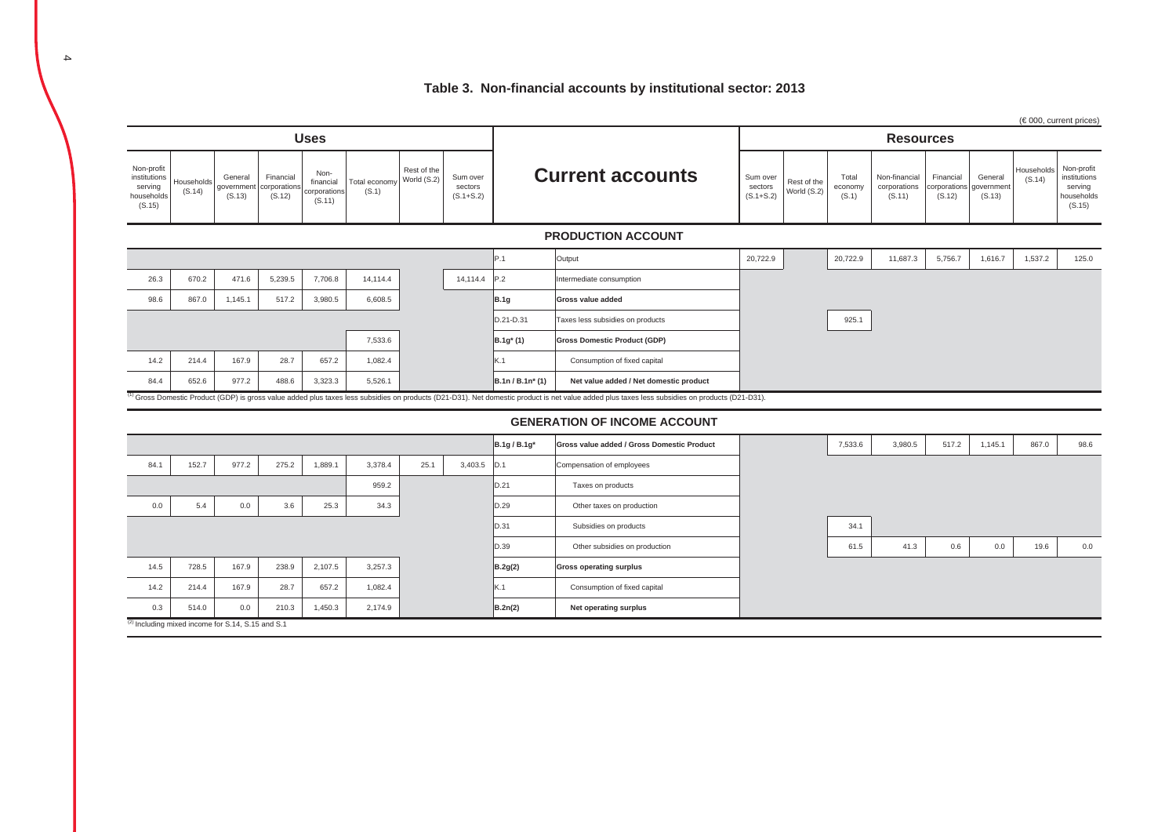### **Table 3. Non-financial accounts by institutional sector: 2013**

|                                                               |                      |                                 |                                    |                                             |                        |                            |                                      |                     |                                                                                                                                                                                                 |                                      |                            |                           |                                         |                                     |                                 | (€000, current prices) |                                                               |  |
|---------------------------------------------------------------|----------------------|---------------------------------|------------------------------------|---------------------------------------------|------------------------|----------------------------|--------------------------------------|---------------------|-------------------------------------------------------------------------------------------------------------------------------------------------------------------------------------------------|--------------------------------------|----------------------------|---------------------------|-----------------------------------------|-------------------------------------|---------------------------------|------------------------|---------------------------------------------------------------|--|
|                                                               |                      |                                 |                                    | <b>Uses</b>                                 |                        |                            |                                      |                     |                                                                                                                                                                                                 |                                      |                            |                           | <b>Resources</b>                        |                                     |                                 |                        |                                                               |  |
| Non-profit<br>institutions<br>serving<br>households<br>(S.15) | Households<br>(S.14) | General<br>government<br>(S.13) | Financial<br>corporation<br>(S.12) | Non-<br>financial<br>corporations<br>(S.11) | Total economy<br>(S.1) | Rest of the<br>World (S.2) | Sum over<br>sectors<br>$(S.1 + S.2)$ |                     | <b>Current accounts</b>                                                                                                                                                                         | Sum over<br>sectors<br>$(S.1 + S.2)$ | Rest of the<br>World (S.2) | Total<br>economy<br>(S.1) | Non-financial<br>corporations<br>(S.11) | Financial<br>corporations<br>(S.12) | General<br>government<br>(S.13) | Households<br>(S.14)   | Non-profit<br>institutions<br>serving<br>households<br>(S.15) |  |
|                                                               |                      |                                 |                                    |                                             |                        |                            |                                      |                     | <b>PRODUCTION ACCOUNT</b>                                                                                                                                                                       |                                      |                            |                           |                                         |                                     |                                 |                        |                                                               |  |
|                                                               |                      |                                 |                                    |                                             |                        |                            |                                      | P.1                 | Output                                                                                                                                                                                          | 20,722.9                             |                            | 20,722.9                  | 11,687.3                                | 5,756.7                             | 1,616.7                         | 1,537.2                | 125.0                                                         |  |
| 26.3                                                          | 670.2                | 471.6                           | 5,239.5                            | 7,706.8                                     | 14.114.4               |                            | 14,114.4                             | P.2                 | Intermediate consumption                                                                                                                                                                        |                                      |                            |                           |                                         |                                     |                                 |                        |                                                               |  |
| 98.6                                                          | 867.0                | 1,145.1                         | 517.2                              | 3,980.5                                     | 6,608.5                |                            |                                      | <b>B.1g</b>         | Gross value added                                                                                                                                                                               |                                      |                            |                           |                                         |                                     |                                 |                        |                                                               |  |
|                                                               |                      |                                 |                                    |                                             |                        |                            |                                      | D.21-D.31           | Taxes less subsidies on products                                                                                                                                                                |                                      |                            | 925.1                     |                                         |                                     |                                 |                        |                                                               |  |
|                                                               |                      |                                 |                                    |                                             | 7,533.6                |                            |                                      | $B.1g^{*}(1)$       | <b>Gross Domestic Product (GDP)</b>                                                                                                                                                             |                                      |                            |                           |                                         |                                     |                                 |                        |                                                               |  |
| 14.2                                                          | 214.4                | 167.9                           | 28.7                               | 657.2                                       | 1,082.4                |                            |                                      | K.1                 | Consumption of fixed capital                                                                                                                                                                    |                                      |                            |                           |                                         |                                     |                                 |                        |                                                               |  |
| 84.4                                                          | 652.6                | 977.2                           | 488.6                              | 3,323.3                                     | 5,526.1                |                            |                                      | $B.1n / B.1n^* (1)$ | Net value added / Net domestic product                                                                                                                                                          |                                      |                            |                           |                                         |                                     |                                 |                        |                                                               |  |
|                                                               |                      |                                 |                                    |                                             |                        |                            |                                      |                     | (1) Gross Domestic Product (GDP) is gross value added plus taxes less subsidies on products (D21-D31). Net domestic product is net value added plus taxes less subsidies on products (D21-D31). |                                      |                            |                           |                                         |                                     |                                 |                        |                                                               |  |
|                                                               |                      |                                 |                                    |                                             |                        |                            |                                      |                     | <b>GENERATION OF INCOME ACCOUNT</b>                                                                                                                                                             |                                      |                            |                           |                                         |                                     |                                 |                        |                                                               |  |
|                                                               |                      |                                 |                                    |                                             |                        |                            |                                      | B.1g / B.1g*        | Gross value added / Gross Domestic Product                                                                                                                                                      |                                      |                            | 7,533.6                   | 3,980.5                                 | 517.2                               | 1,145.1                         | 867.0                  | 98.6                                                          |  |
| 84.1                                                          | 152.7                | 977.2                           | 275.2                              | 1,889.1                                     | 3,378.4                | 25.1                       | 3,403.5                              | D.1                 | Compensation of employees                                                                                                                                                                       |                                      |                            |                           |                                         |                                     |                                 |                        |                                                               |  |
|                                                               |                      |                                 |                                    |                                             | 959.2                  |                            |                                      | D.21                | Taxes on products                                                                                                                                                                               |                                      |                            |                           |                                         |                                     |                                 |                        |                                                               |  |
| 0.0                                                           | 5.4                  | 0.0                             | 3.6                                | 25.3                                        | 34.3                   |                            |                                      | D.29                | Other taxes on production                                                                                                                                                                       |                                      |                            |                           |                                         |                                     |                                 |                        |                                                               |  |
|                                                               |                      |                                 |                                    |                                             |                        |                            |                                      | D.31                | Subsidies on products                                                                                                                                                                           |                                      |                            | 34.1                      |                                         |                                     |                                 |                        |                                                               |  |
|                                                               |                      |                                 |                                    |                                             |                        |                            |                                      | D.39                | Other subsidies on production                                                                                                                                                                   |                                      |                            | 61.5                      | 41.3                                    | 0.6                                 | 0.0                             | 19.6                   | 0.0                                                           |  |
| 14.5                                                          | 728.5                | 167.9                           | 238.9                              | 2,107.5                                     | 3,257.3                |                            |                                      | B.2g(2)             | <b>Gross operating surplus</b>                                                                                                                                                                  |                                      |                            |                           |                                         |                                     |                                 |                        |                                                               |  |
| 14.2                                                          | 214.4                | 167.9                           | 28.7                               | 657.2                                       | 1,082.4                |                            |                                      | K.1                 | Consumption of fixed capital                                                                                                                                                                    |                                      |                            |                           |                                         |                                     |                                 |                        |                                                               |  |
| 0.3                                                           | 514.0                | 0.0                             | 210.3                              | 1,450.3                                     | 2,174.9                |                            |                                      | B.2n(2)             | Net operating surplus                                                                                                                                                                           |                                      |                            |                           |                                         |                                     |                                 |                        |                                                               |  |
| <sup>(2)</sup> Including mixed income for S.14, S.15 and S.1  |                      |                                 |                                    |                                             |                        |                            |                                      |                     |                                                                                                                                                                                                 |                                      |                            |                           |                                         |                                     |                                 |                        |                                                               |  |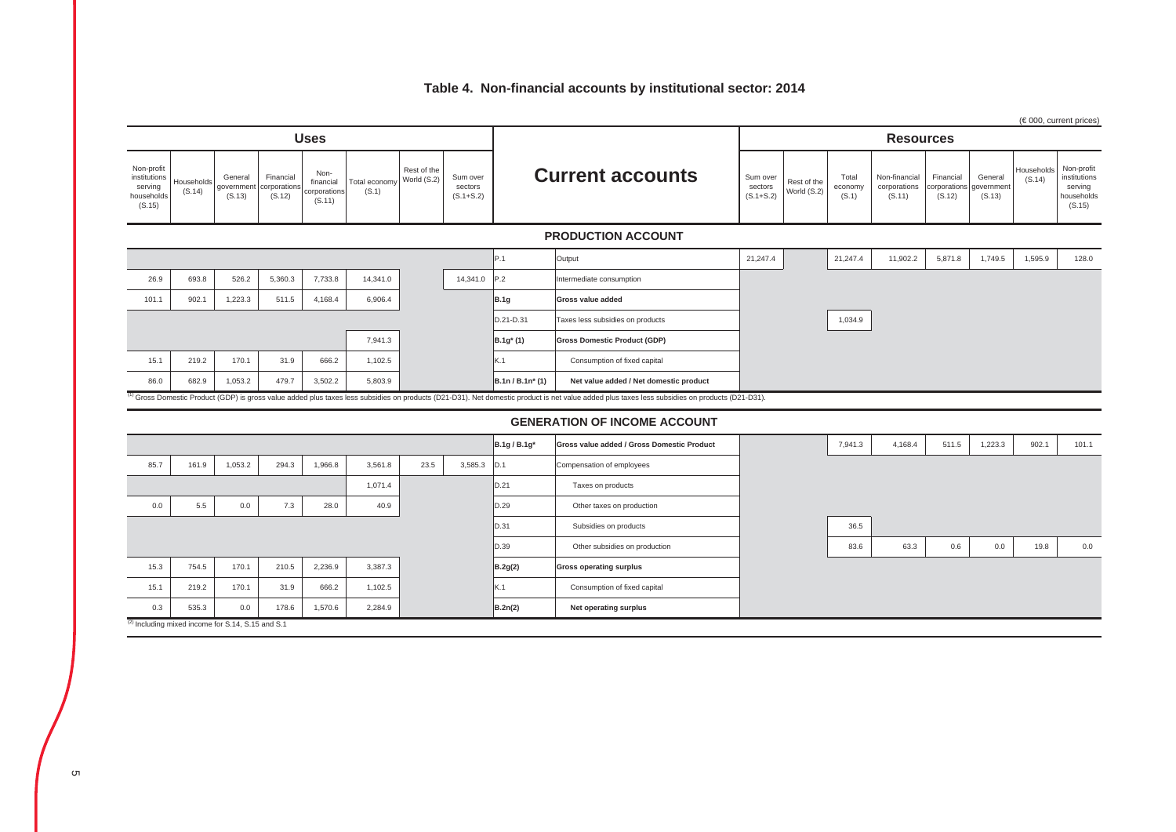### **Table 4. Non-financial accounts by institutional sector: 2014**

|                                                               |                                                              |                                |                                    |                                             |                        |                            |                                      |                  |                                                                                                                                                                                                 |                                      |                            |                           |                                         |                                     |                                 |                      | (€000, current prices)                                        |
|---------------------------------------------------------------|--------------------------------------------------------------|--------------------------------|------------------------------------|---------------------------------------------|------------------------|----------------------------|--------------------------------------|------------------|-------------------------------------------------------------------------------------------------------------------------------------------------------------------------------------------------|--------------------------------------|----------------------------|---------------------------|-----------------------------------------|-------------------------------------|---------------------------------|----------------------|---------------------------------------------------------------|
| <b>Uses</b>                                                   |                                                              |                                |                                    |                                             |                        |                            |                                      |                  | <b>Resources</b>                                                                                                                                                                                |                                      |                            |                           |                                         |                                     |                                 |                      |                                                               |
| Non-profit<br>institutions<br>serving<br>households<br>(S.15) | Households<br>(S.14)                                         | General<br>governmen<br>(S.13) | Financial<br>corporation<br>(S.12) | Non-<br>financial<br>corporations<br>(S.11) | Total economy<br>(S.1) | Rest of the<br>World (S.2) | Sum over<br>sectors<br>$(S.1 + S.2)$ |                  | <b>Current accounts</b>                                                                                                                                                                         | Sum over<br>sectors<br>$(S.1 + S.2)$ | Rest of the<br>World (S.2) | Total<br>economy<br>(S.1) | Non-financial<br>corporations<br>(S.11) | Financial<br>corporations<br>(S.12) | General<br>government<br>(S.13) | Households<br>(S.14) | Non-profit<br>institutions<br>serving<br>households<br>(S.15) |
|                                                               |                                                              |                                |                                    |                                             |                        |                            |                                      |                  | <b>PRODUCTION ACCOUNT</b>                                                                                                                                                                       |                                      |                            |                           |                                         |                                     |                                 |                      |                                                               |
|                                                               |                                                              |                                |                                    |                                             |                        |                            |                                      | P.1              | Output                                                                                                                                                                                          | 21,247.4                             |                            | 21,247.4                  | 11,902.2                                | 5,871.8                             | 1,749.5                         | 1,595.9              | 128.0                                                         |
| 26.9                                                          | 693.8                                                        | 526.2                          | 5,360.3                            | 7,733.8                                     | 14,341.0               |                            | 14,341.0                             | P.2              | Intermediate consumption                                                                                                                                                                        |                                      |                            |                           |                                         |                                     |                                 |                      |                                                               |
| 101.1                                                         | 902.1                                                        | 1,223.3                        | 511.5                              | 4,168.4                                     | 6,906.4                |                            |                                      | <b>B.1g</b>      | Gross value added                                                                                                                                                                               |                                      |                            |                           |                                         |                                     |                                 |                      |                                                               |
|                                                               |                                                              |                                |                                    |                                             |                        |                            |                                      | D.21-D.31        | Taxes less subsidies on products                                                                                                                                                                |                                      |                            | 1,034.9                   |                                         |                                     |                                 |                      |                                                               |
|                                                               |                                                              |                                |                                    |                                             | 7,941.3                |                            |                                      | B.1g* (1)        | <b>Gross Domestic Product (GDP)</b>                                                                                                                                                             |                                      |                            |                           |                                         |                                     |                                 |                      |                                                               |
| 15.1                                                          | 219.2                                                        | 170.1                          | 31.9                               | 666.2                                       | 1,102.5                |                            |                                      | K.1              | Consumption of fixed capital                                                                                                                                                                    |                                      |                            |                           |                                         |                                     |                                 |                      |                                                               |
| 86.0                                                          | 682.9                                                        | 1,053.2                        | 479.7                              | 3,502.2                                     | 5,803.9                |                            |                                      | B.1n / B.1n* (1) | Net value added / Net domestic product                                                                                                                                                          |                                      |                            |                           |                                         |                                     |                                 |                      |                                                               |
|                                                               |                                                              |                                |                                    |                                             |                        |                            |                                      |                  | (1) Gross Domestic Product (GDP) is gross value added plus taxes less subsidies on products (D21-D31). Net domestic product is net value added plus taxes less subsidies on products (D21-D31). |                                      |                            |                           |                                         |                                     |                                 |                      |                                                               |
|                                                               |                                                              |                                |                                    |                                             |                        |                            |                                      |                  | <b>GENERATION OF INCOME ACCOUNT</b>                                                                                                                                                             |                                      |                            |                           |                                         |                                     |                                 |                      |                                                               |
|                                                               |                                                              |                                |                                    |                                             |                        |                            |                                      | B.1g / B.1g*     | Gross value added / Gross Domestic Product                                                                                                                                                      |                                      |                            | 7,941.3                   | 4,168.4                                 | 511.5                               | 1,223.3                         | 902.1                | 101.1                                                         |
| 85.7                                                          | 161.9                                                        | 1,053.2                        | 294.3                              | 1,966.8                                     | 3,561.8                | 23.5                       | 3,585.3                              | D.1              | Compensation of employees                                                                                                                                                                       |                                      |                            |                           |                                         |                                     |                                 |                      |                                                               |
|                                                               |                                                              |                                |                                    |                                             | 1,071.4                |                            |                                      | D.21             | Taxes on products                                                                                                                                                                               |                                      |                            |                           |                                         |                                     |                                 |                      |                                                               |
| 0.0                                                           | 5.5                                                          | $0.0\,$                        | 7.3                                | 28.0                                        | 40.9                   |                            |                                      | D.29             | Other taxes on production                                                                                                                                                                       |                                      |                            |                           |                                         |                                     |                                 |                      |                                                               |
|                                                               |                                                              |                                |                                    |                                             |                        |                            |                                      | D.31             | Subsidies on products                                                                                                                                                                           |                                      |                            | 36.5                      |                                         |                                     |                                 |                      |                                                               |
|                                                               |                                                              |                                |                                    |                                             |                        |                            |                                      | D.39             | Other subsidies on production                                                                                                                                                                   |                                      |                            | 83.6                      | 63.3                                    | 0.6                                 | 0.0                             | 19.8                 | 0.0                                                           |
| 15.3                                                          | 754.5                                                        | 170.1                          | 210.5                              | 2,236.9                                     | 3,387.3                |                            |                                      | B.2g(2)          | <b>Gross operating surplus</b>                                                                                                                                                                  |                                      |                            |                           |                                         |                                     |                                 |                      |                                                               |
| 15.1                                                          | 219.2                                                        | 170.1                          | 31.9                               | 666.2                                       | 1,102.5                |                            |                                      | K.1              | Consumption of fixed capital                                                                                                                                                                    |                                      |                            |                           |                                         |                                     |                                 |                      |                                                               |
| 0.3                                                           | 535.3                                                        | 0.0                            | 178.6                              | 1,570.6                                     | 2,284.9                |                            |                                      | B.2n(2)          | Net operating surplus                                                                                                                                                                           |                                      |                            |                           |                                         |                                     |                                 |                      |                                                               |
|                                                               | <sup>(2)</sup> Including mixed income for S.14, S.15 and S.1 |                                |                                    |                                             |                        |                            |                                      |                  |                                                                                                                                                                                                 |                                      |                            |                           |                                         |                                     |                                 |                      |                                                               |